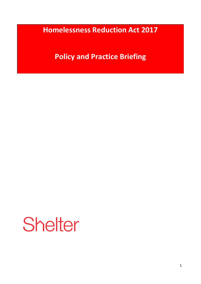**Homelessness Reduction Act 2017**

**Policy and Practice Briefing**

Shelter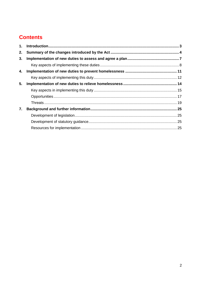# **Contents**

| 1. |  |
|----|--|
| 2. |  |
| 3. |  |
|    |  |
| 4. |  |
|    |  |
| 5. |  |
|    |  |
|    |  |
|    |  |
| 7. |  |
|    |  |
|    |  |
|    |  |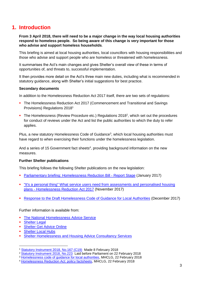## <span id="page-2-0"></span>**1. Introduction**

**From 3 April 2018, there will need to be a major change in the way local housing authorities respond to homeless people. So being aware of this change is very important for those who advise and support homeless households**.

This briefing is aimed at local housing authorities, local councillors with housing responsibilities and those who advise and support people who are homeless or threatened with homelessness.

It summarises the Act's main changes and gives Shelter's overall view of these in terms of opportunities of, and threats to, successful implementation.

It then provides more detail on the Act's three main new duties, including what is recommended in statutory guidance, along with Shelter's initial suggestions for best practice.

#### **Secondary documents**

In addition to the Homelessness Reduction Act 2017 itself, there are two sets of regulations:

- The Homelessness Reduction Act 2017 (Commencement and Transitional and Savings Provisions) Regulations 2018<sup>1</sup>
- The Homelessness (Review Procedure etc.) Regulations 2018<sup>2</sup>, which set out the procedures for conduct of reviews under the Act and list the public authorities to which the duty to refer applies.

Plus, a new statutory Homelessness Code of Guidance<sup>3</sup>, which local housing authorities must have regard to when exercising their functions under the homelessness legislation.

And a series of 15 Government fact sheets<sup>4</sup>, providing background information on the new measures.

#### **Further Shelter publications**

This briefing follows the following Shelter publications on the new legislation:

- Parliamentary briefing: [Homelessness Reduction Bill -](https://england.shelter.org.uk/professional_resources/policy_and_research/policy_library/policy_library_folder/homelessness_reduction_bill_report_stage) Report Stage (January 2017)
- ["It's a personal thing" What service users need from assessments and personalised housing](https://england.shelter.org.uk/professional_resources/policy_and_research/policy_library/policy_library_folder/briefing_its_a_personal_thing_what_service_users_need_from_assessments_and_personalised_housing_plans_-_homelessness_reduction_act_2017)  plans - [Homelessness Reduction Act 2017](https://england.shelter.org.uk/professional_resources/policy_and_research/policy_library/policy_library_folder/briefing_its_a_personal_thing_what_service_users_need_from_assessments_and_personalised_housing_plans_-_homelessness_reduction_act_2017) (November 2017)
- [Response to the Draft Homelessness Code of Guidance for Local Authorities](https://england.shelter.org.uk/professional_resources/policy_and_research/policy_library/policy_library_folder/response_draft_homelessness_code_of_guidance_for_local_authorities) (December 2017)

Further information is available from:

- [The National Homelessness Advice Service](https://www.nhas.org.uk/)
- **-** [Shelter Legal](http://england.shelter.org.uk/legal)
- **[Shelter Get Advice Online](https://england.shelter.org.uk/housing_advice/homelessness)**
- **[Shelter Local Hubs](https://england.shelter.org.uk/get_help/local_services)**
- **[Shelter Homelessness and Housing Advice Consultancy Services](http://england.shelter.org.uk/professional_resources/consultancy_services)**

**<sup>.</sup>** <sup>1</sup> [Statutory Instrument 2018, No.167 \(C19\)](http://www.legislation.gov.uk/uksi/2018/167/made) Made 8 February 2018

<sup>2</sup> [Statutory Instrument 2018, No.223](http://www.legislation.gov.uk/uksi/2018/223/made) Laid before Parliament on 22 February 2018

<sup>3</sup> [Homelessness code of guidance for local authorities,](https://www.gov.uk/guidance/homelessness-code-of-guidance-for-local-authorities) MHCLG, 22 February 2018

<sup>4</sup> [Homelessness Reduction Act: policy factsheets,](https://www.gov.uk/government/publications/homelessness-reduction-bill-policy-factsheets) MHCLG, 22 February 2018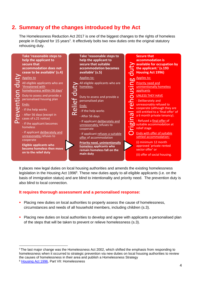## <span id="page-3-0"></span>**2. Summary of the changes introduced by the Act**

The Homelessness Reduction Act 2017 is one of the biggest changes to the rights of homeless people in England for 15 years<sup>5</sup>. It effectively bolts two new duties onto the original statutory rehousing duty.



It places new legal duties on local housing authorities and amends the existing homelessness legislation in the Housing Act 1996<sup>6</sup>. These new duties apply to all eligible applicants (i.e. on the basis of immigration status) and are blind to intentionality and priority need. The prevention duty is also blind to local connection.

## **It requires thorough assessment and a personalised response:**

- **Placing new duties on local authorities to properly assess the cause of homelessness,** circumstances and needs of all household members, including children (s.3).
- **Placing new duties on local authorities to develop and agree with applicants a personalised plan** of the steps that will be taken to prevent or relieve homelessness (s.3).

**.** 

<sup>&</sup>lt;sup>5</sup>The last major change was the Homelessness Act 2002, which shifted the emphasis from responding to homelessness when it occurred to strategic prevention via new duties on local housing authorities to review the causes of homelessness in their area and publish a Homelessness Strategy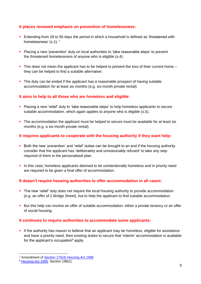## **It places renewed emphasis on prevention of homelessness:**

- Extending from 28 to 56 days the period in which a household is defined as 'threatened with homelessness' (s.1).<sup>7</sup>
- Placing a new 'prevention' duty on local authorities to 'take reasonable steps' to prevent the threatened homelessness of anyone who is eligible (s.4).
- This does not mean the applicant has to be helped to prevent the loss of their current home they can be helped to find a suitable alternative.
- The duty can be ended if the applicant has a reasonable prospect of having suitable accommodation for at least six months (e.g. six-month private rental).

## **It aims to help to all those who are homeless and eligible:**

- Placing a new 'relief' duty to 'take reasonable steps' to help homeless applicants to secure suitable accommodation, which again applies to anyone who is eligible (s.5).
- The accommodation the applicant must be helped to secure must be available for at least six months (e.g. a six-month private rental).

## **It requires applicants to cooperate with the housing authority if they want help:**

- **Both the new 'prevention' and 'relief' duties can be brought to an end if the housing authority** consider that the applicant has 'deliberately and unreasonably refused' to take any step required of them in the personalised plan.
- In this case, homeless applicants deemed to be unintentionally homeless and in priority need are required to be given a final offer of accommodation.

## **It doesn't require housing authorities to offer accommodation in all cases:**

- The new 'relief' duty does not require the local housing authority to provide accommodation (e.g. an offer of 2 Bridge Street), but to help the applicant to find suitable accommodation.
- **But this help can involve an offer of suitable accommodation: either a private tenancy or an offer** of social housing.

## **It continues to require authorities to accommodate some applicants:**

If the authority has reason to believe that an applicant may be homeless, eligible for assistance and have a priority need, then existing duties to secure that 'interim' accommodation is available for the applicant's occupation $8$  apply.

**.** 

<sup>7</sup> Amendment of [Section 175\(4\) Housing Act 1996](https://www.legislation.gov.uk/ukpga/1996/52/part/VII/crossheading/homelessness-and-threatened-homelessness)

<sup>8</sup> [Housing Act 1996,](https://www.legislation.gov.uk/ukpga/1996/52/section/188) Section 188(1)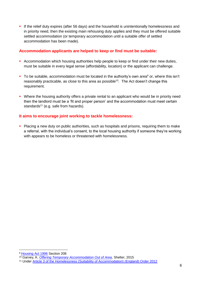If the relief duty expires (after 56 days) and the household is unintentionally homelessness and in priority need, then the existing main rehousing duty applies and they must be offered suitable settled accommodation (or temporary accommodation until a suitable offer of settled accommodation has been made).

## **Accommodation applicants are helped to keep or find must be suitable:**

- Accommodation which housing authorities help people to keep or find under their new duties, must be suitable in every legal sense (affordability, location) or the applicant can challenge.
- To be suitable, accommodation must be located in the authority's own area<sup>9</sup> or, where this isn't reasonably practicable, as close to this area as possible<sup>10</sup>. The Act doesn't change this requirement.
- Where the housing authority offers a private rental to an applicant who would be in priority need then the landlord must be a 'fit and proper person' and the accommodation must meet certain standards $11$  (e.g. safe from hazards).

## **It aims to encourage joint working to tackle homelessness:**

**Placing a new duty on public authorities, such as hospitals and prisons, requiring them to make** a referral, with the individual's consent, to the local housing authority if someone they're working with appears to be homeless or threatened with homelessness.

1

<sup>9</sup> [Housing Act 1996](http://www.legislation.gov.uk/ukpga/1996/52/section/208) Section 208

<sup>10</sup> Garvey, K. *[Offering Temporary Accommodation Out of Area](https://england.shelter.org.uk/professional_resources/policy_and_research/policy_library/policy_library_folder/briefing_offering_temporary_accommodation_out_of_area)*, Shelter, 2015

<sup>&</sup>lt;sup>11</sup> Under [Article 3 of the Homelessness \(Suitability of Accommodation\) \(England\) Order 2012](http://www.legislation.gov.uk/uksi/2003/3326/article/3/made)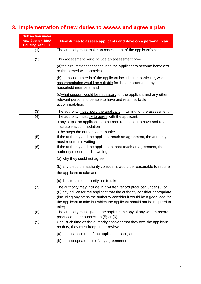# <span id="page-6-0"></span>**3. Implementation of new duties to assess and agree a plan**

| <b>Subsection under</b><br>new Section 189A<br><b>Housing Act 1996</b>        | New duties to assess applicants and develop a personal plan                                                                                                                                                                                                                                                    |
|-------------------------------------------------------------------------------|----------------------------------------------------------------------------------------------------------------------------------------------------------------------------------------------------------------------------------------------------------------------------------------------------------------|
| (1)                                                                           | The authority must make an assessment of the applicant's case                                                                                                                                                                                                                                                  |
| (2)                                                                           | This assessment must include an assessment of-                                                                                                                                                                                                                                                                 |
|                                                                               | (a) the circumstances that caused the applicant to become homeless<br>or threatened with homelessness,                                                                                                                                                                                                         |
|                                                                               | (b)the housing needs of the applicant including, in particular, what<br>accommodation would be suitable for the applicant and any<br>household members, and                                                                                                                                                    |
|                                                                               | (c) what support would be necessary for the applicant and any other<br>relevant persons to be able to have and retain suitable<br>accommodation.                                                                                                                                                               |
| The authority must notify the applicant, in writing, of the assessment<br>(3) |                                                                                                                                                                                                                                                                                                                |
| (4)                                                                           | The authority must try to agree with the applicant:<br>• any steps the applicant is to be required to take to have and retain<br>suitable accommodation<br>• the steps the authority are to take                                                                                                               |
| (5)                                                                           | If the authority and the applicant reach an agreement, the authority<br>must record it in writing                                                                                                                                                                                                              |
| (6)                                                                           | If the authority and the applicant cannot reach an agreement, the<br>authority must record in writing:                                                                                                                                                                                                         |
|                                                                               | (a) why they could not agree,                                                                                                                                                                                                                                                                                  |
|                                                                               | (b) any steps the authority consider it would be reasonable to require                                                                                                                                                                                                                                         |
|                                                                               | the applicant to take and<br>(c) the steps the authority are to take.                                                                                                                                                                                                                                          |
| (7)                                                                           | The authority may include in a written record produced under (5) or<br>(6) any advice for the applicant that the authority consider appropriate<br>(including any steps the authority consider it would be a good idea for<br>the applicant to take but which the applicant should not be required to<br>take) |
| (8)                                                                           | The authority must give to the applicant a copy of any written record<br>produced under subsection (5) or (6)                                                                                                                                                                                                  |
| (9)                                                                           | Until such time as the authority consider that they owe the applicant<br>no duty, they must keep under review-                                                                                                                                                                                                 |
|                                                                               | (a)their assessment of the applicant's case, and                                                                                                                                                                                                                                                               |
|                                                                               | (b) the appropriateness of any agreement reached                                                                                                                                                                                                                                                               |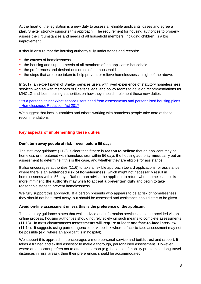At the heart of the legislation is a new duty to assess all eligible applicants' cases and agree a plan. Shelter strongly supports this approach. The requirement for housing authorities to properly assess the circumstances and needs of all household members, including children, is a big improvement.

It should ensure that the housing authority fully understands and records:

- the causes of homelessness
- the housing and support needs of all members of the applicant's household
- the preferences and desired outcomes of the household
- the steps that are to be taken to help prevent or relieve homelessness in light of the above.

In 2017, an expert panel of Shelter services users with lived experience of statutory homelessness services worked with members of Shelter's legal and policy teams to develop recommendations for MHCLG and local housing authorities on how they should implement these new duties.

["It's a personal thing" What service users need from assessments and personalised housing plans](https://england.shelter.org.uk/professional_resources/policy_and_research/policy_library/policy_library_folder/briefing_its_a_personal_thing_what_service_users_need_from_assessments_and_personalised_housing_plans_-_homelessness_reduction_act_2017)  - [Homelessness Reduction Act 2017](https://england.shelter.org.uk/professional_resources/policy_and_research/policy_library/policy_library_folder/briefing_its_a_personal_thing_what_service_users_need_from_assessments_and_personalised_housing_plans_-_homelessness_reduction_act_2017)

We suggest that local authorities and others working with homeless people take note of these recommendations.

## <span id="page-7-0"></span>**Key aspects of implementing these duties**

#### **Don't turn away people at risk – even before 56 days**

The statutory guidance (11.3) is clear that if there is **reason to believe** that an applicant may be homeless or threatened with homelessness within 56 days the housing authority **must** carry out an assessment to determine if this is the case, and whether they are eligible for assistance.

It also encourages authorities (11.6) to take a flexible approach toward applications for assistance where there is an **evidenced risk of homelessness**, which might not necessarily result in homelessness within 56 days. Rather than advise the applicant to return when homelessness is more imminent, **the authority may wish to accept a prevention duty** and begin to take reasonable steps to prevent homelessness.

We fully support this approach. If a person presents who appears to be at risk of homelessness, they should not be turned away, but should be assessed and assistance should start to be given.

#### **Avoid on-line assessment unless this is the preference of the applicant**

The statutory guidance states that while advice and information services could be provided via an online process, housing authorities should not rely solely on such means to complete assessments (11.13). In most circumstances **assessments will require at least one face-to-face interview** (11.14). It suggests using partner agencies or video link where a face-to-face assessment may not be possible (e.g. where an applicant is in hospital).

We support this approach. It encourages a more personal service and builds trust and rapport. It takes a trained and skilled assessor to make a thorough, personalised assessment. However, where an applicant prefers not to attend in person (e.g. because of mobility problems or long travel distances in rural areas), then their preferences should be accommodated.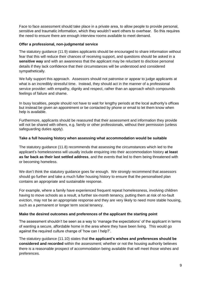Face to face assessment should take place in a private area, to allow people to provide personal, sensitive and traumatic information, which they wouldn't want others to overhear. So this requires the need to ensure there are enough interview rooms available to meet demand.

## **Offer a professional, non-judgmental service**

The statutory guidance (11.9) states applicants should be encouraged to share information without fear that this will reduce their chances of receiving support, and questions should be asked in a **sensitive way** and with an awareness that the applicant may be reluctant to disclose personal details if they lack confidence that their circumstances will be understood and considered sympathetically.

We fully support this approach. Assessors should not patronise or appear to judge applicants at what is an incredibly stressful time. Instead, they should act in the manner of a professional service provider: with empathy, dignity and respect, rather than an approach which compounds feelings of failure and shame.

In busy localities, people should not have to wait for lengthy periods at the local authority's offices but instead be given an appointment or be contacted by phone or email to let them know when help is available.

Furthermore, applicants should be reassured that their assessment and information they provide will not be shared with others, e.g. family or other professionals, without their permission (unless safeguarding duties apply).

## **Take a full housing history when assessing what accommodation would be suitable**

The statutory guidance (11.8) recommends that assessing the circumstances which led to the applicant's homelessness will usually include enquiring into their accommodation history **at least as far back as their last settled address**, and the events that led to them being threatened with or becoming homeless.

We don't think the statutory quidance goes far enough. We strongly recommend that assessors should go further and take a much fuller housing history to ensure that the personalised plan contains an appropriate and sustainable response.

For example, where a family have experienced frequent repeat homelessness, involving children having to move schools as a result, a further six-month tenancy, putting them at risk of no-fault eviction, may not be an appropriate response and they are very likely to need more stable housing, such as a permanent or longer term social tenancy.

## **Make the desired outcomes and preferences of the applicant the starting point**

The assessment shouldn't be seen as a way to 'manage the expectations' of the applicant in terms of wanting a secure, affordable home in the area where they have been living. This would go against the required culture change of 'how can I help?'.

The statutory guidance (11.10) states that **the applicant's wishes and preferences should be considered and recorded** within the assessment; whether or not the housing authority believes there is a reasonable prospect of accommodation being available that will meet those wishes and preferences.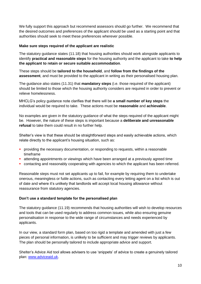We fully support this approach but recommend assessors should go further. We recommend that the desired outcomes and preferences of the applicant should be used as a starting point and that authorities should seek to meet these preferences wherever possible.

## **Make sure steps required of the applicant are realistic**

The statutory guidance states (11.18) that housing authorities should work alongside applicants to identify **practical and reasonable steps** for the housing authority and the applicant to take **to help the applicant to retain or secure suitable accommodation**.

These steps should be **tailored to the household**, and **follow from the findings of the assessment**, and must be provided to the applicant in writing as their personalised housing plan.

The guidance also states (11.31) that **mandatory steps** (i.e. those required of the applicant) should be limited to those which the housing authority considers are required in order to prevent or relieve homelessness.

MHCLG's policy guidance note clarifies that there will be **a small number of key steps** the individual would be required to take. These actions must be **reasonable** and **achievable**.

No examples are given in the statutory guidance of what the steps required of the applicant might be. However, the nature of these steps is important because a **deliberate and unreasonable refusal** to take them could result in no further help.

Shelter's view is that these should be straightforward steps and easily achievable actions, which relate directly to the applicant's housing situation, such as:

- **PEDDE FIGHTS IN THE PROVIDED THE PROVIDED IN A FIGHTS IN A FEAS** in providing the necessary documentation, or responding to requests, within a reasonable timeframe
- attending appointments or viewings which have been arranged at a previously agreed time
- contacting and reasonably cooperating with agencies to which the applicant has been referred.

Reasonable steps must not set applicants up to fail, for example by requiring them to undertake onerous, meaningless or futile actions, such as contacting every letting agent on a list which is out of date and where it's unlikely that landlords will accept local housing allowance without reassurance from statutory agencies.

## **Don't use a standard template for the personalised plan**

The statutory guidance (11.19) recommends that housing authorities will wish to develop resources and tools that can be used regularly to address common issues, while also ensuring genuine personalisation in response to the wide range of circumstances and needs experienced by applicants.

In our view, a standard form plan, based on too rigid a template and amended with just a few pieces of personal information, is unlikely to be sufficient and may trigger reviews by applicants. The plan should be personally tailored to include appropriate advice and support.

Shelter's Advice Aid tool allows advisers to use 'snippets' of advice to create a genuinely tailored plan: [www.adviceaid.uk.](www.adviceaid.uk)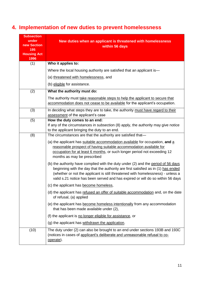# <span id="page-10-0"></span>**4. Implementation of new duties to prevent homelessness**

| <b>Subsection</b><br>under<br>new Section<br>195<br><b>Housing Act</b><br>1996<br>(1) | New duties when an applicant is threatened with homelessness<br>within 56 days<br>Who it applies to:<br>Where the local housing authority are satisfied that an applicant is-                                                                                                                                                               |
|---------------------------------------------------------------------------------------|---------------------------------------------------------------------------------------------------------------------------------------------------------------------------------------------------------------------------------------------------------------------------------------------------------------------------------------------|
|                                                                                       | (a) threatened with homelessness, and<br>(b) eligible for assistance.                                                                                                                                                                                                                                                                       |
| (2)                                                                                   | What the authority must do:                                                                                                                                                                                                                                                                                                                 |
|                                                                                       | The authority must take reasonable steps to help the applicant to secure that<br>accommodation does not cease to be available for the applicant's occupation.                                                                                                                                                                               |
| (3)                                                                                   | In deciding what steps they are to take, the authority must have regard to their<br>assessment of the applicant's case                                                                                                                                                                                                                      |
| (5)                                                                                   | How the duty comes to an end:<br>If any of the circumstances in subsection (8) apply, the authority may give notice<br>to the applicant bringing the duty to an end.                                                                                                                                                                        |
| (8)                                                                                   | The circumstances are that the authority are satisfied that-                                                                                                                                                                                                                                                                                |
|                                                                                       | (a) the applicant has suitable accommodation available for occupation, and a<br>reasonable prospect of having suitable accommodation available for<br>occupation for at least 6 months, or such longer period not exceeding 12<br>months as may be prescribed                                                                               |
|                                                                                       | (b) the authority have complied with the duty under (2) and the period of 56 days<br>beginning with the day that the authority are first satisfied as in (1) has ended<br>(whether or not the applicant is still threatened with homelessness) - unless a<br>valid s.21 notice has been served and has expired or will do so within 56 days |
|                                                                                       | (c) the applicant has become homeless,                                                                                                                                                                                                                                                                                                      |
|                                                                                       | (d) the applicant has refused an offer of suitable accommodation and, on the date<br>of refusal, (a) applied                                                                                                                                                                                                                                |
|                                                                                       | (e) the applicant has become homeless intentionally from any accommodation<br>that has been made available under (2),                                                                                                                                                                                                                       |
|                                                                                       | (f) the applicant is no longer eligible for assistance, or                                                                                                                                                                                                                                                                                  |
|                                                                                       | (g) the applicant has withdrawn the application.                                                                                                                                                                                                                                                                                            |
| (10)                                                                                  | The duty under (2) can also be brought to an end under sections 193B and 193C<br>(notices in cases of applicant's deliberate and unreasonable refusal to co-<br>operate).                                                                                                                                                                   |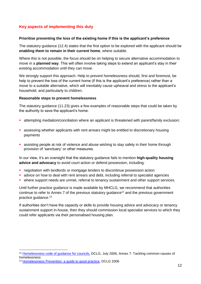## <span id="page-11-0"></span>**Key aspects of implementing this duty**

#### **Prioritise preventing the loss of the existing home if this is the applicant's preference**

The statutory guidance (12.4) states that the first option to be explored with the applicant should be **enabling them to remain in their current home**, where suitable.

Where this is not possible, the focus should be on helping to secure alternative accommodation to move in a **planned way**. This will often involve taking steps to extend an applicant's stay in their existing accommodation until they can move.

We strongly support this approach. Help to prevent homelessness should, first and foremost, be help to prevent the loss of the current home (if this is the applicant's preference) rather than a move to a suitable alternative, which will inevitably cause upheaval and stress to the applicant's household, and particularly to children.

#### **Reasonable steps to prevent homelessness**

The statutory guidance (11.23) gives a few examples of reasonable steps that could be taken by the authority to save the applicant's home:

- attempting mediation/conciliation where an applicant is threatened with parent/family exclusion;
- assessing whether applicants with rent arrears might be entitled to discretionary housing payments
- **a** assisting people at risk of violence and abuse wishing to stay safely in their home through provision of 'sanctuary' or other measures.

In our view, it's an oversight that the statutory guidance fails to mention **high-quality housing advice and advocacy** to avoid court action or defend possession, including:

- negotiation with landlords or mortgage lenders to discontinue possession action
- **a** advice on how to deal with rent arrears and debt, including referral to specialist agencies
- where support needs are unmet, referral to tenancy sustainment and other support services.

Until further practice guidance is made available by MHCLG, we recommend that authorities continue to refer to Annex 7 of the previous statutory guidance<sup>12</sup> and the previous government practice guidance. 13

If authorities don't have the capacity or skills to provide housing advice and advocacy or tenancy sustainment support in-house, then they should commission local specialist services to which they could refer applicants via their personalised housing plan.

1

<sup>12</sup> [Homelessness code of guidance for councils,](https://www.gov.uk/government/publications/homelessness-code-of-guidance-for-councils-july-2006) DCLG, July 2006, Annex 7: Tackling common causes of homelessness

<sup>13</sup> [Homelessness Prevention: a guide to good practice,](http://www.equation.org.uk/wp-content/uploads/2012/12/Homelessness-Prevention-A-Guide-to-Good-Practice.pdf) DCLG 2006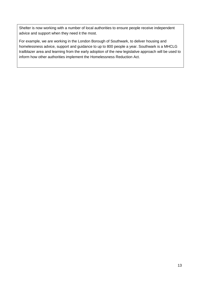Shelter is now working with a number of local authorities to ensure people receive independent advice and support when they need it the most.

For example, we are working in the London Borough of Southwark, to deliver housing and homelessness advice, support and guidance to up to 800 people a year. Southwark is a MHCLG trailblazer area and learning from the early adoption of the new legislative approach will be used to inform how other authorities implement the Homelessness Reduction Act.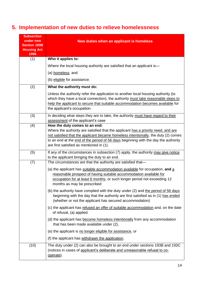# <span id="page-13-0"></span>**5. Implementation of new duties to relieve homelessness**

| <b>Subsection</b><br>under new<br><b>Section 189B</b><br><b>Housing Act</b><br>1996 | New duties when an applicant is homeless                                                                                                                                                                                                                                                                                                   |  |  |
|-------------------------------------------------------------------------------------|--------------------------------------------------------------------------------------------------------------------------------------------------------------------------------------------------------------------------------------------------------------------------------------------------------------------------------------------|--|--|
| (1)                                                                                 | Who it applies to:                                                                                                                                                                                                                                                                                                                         |  |  |
|                                                                                     | Where the local housing authority are satisfied that an applicant is-                                                                                                                                                                                                                                                                      |  |  |
|                                                                                     | (a) homeless, and                                                                                                                                                                                                                                                                                                                          |  |  |
|                                                                                     | (b) eligible for assistance.                                                                                                                                                                                                                                                                                                               |  |  |
| (2)                                                                                 | What the authority must do:                                                                                                                                                                                                                                                                                                                |  |  |
|                                                                                     | Unless the authority refer the application to another local housing authority (to<br>which they have a local connection), the authority must take reasonable steps to<br>help the applicant to secure that suitable accommodation becomes available for<br>the applicant's occupation.                                                     |  |  |
| (3)                                                                                 | In deciding what steps they are to take, the authority must have regard to their<br>assessment of the applicant's case                                                                                                                                                                                                                     |  |  |
| (4)                                                                                 | How the duty comes to an end:<br>Where the authority are satisfied that the applicant has a priority need, and are<br>not satisfied that the applicant became homeless intentionally, the duty (2) comes<br>to an end at the end of the period of 56 days beginning with the day the authority<br>are first satisfied as mentioned in (1). |  |  |
| (5)                                                                                 | If any of the circumstances in subsection (7) apply, the authority may give notice<br>to the applicant bringing the duty to an end.                                                                                                                                                                                                        |  |  |
| (7)                                                                                 | The circumstances are that the authority are satisfied that-                                                                                                                                                                                                                                                                               |  |  |
|                                                                                     | (a) the applicant has suitable accommodation available for occupation, and a<br>reasonable prospect of having suitable accommodation available for<br>occupation for at least 6 months, or such longer period not exceeding 12<br>months as may be prescribed                                                                              |  |  |
|                                                                                     | (b) the authority have complied with the duty under (2) and the period of 56 days<br>beginning with the day that the authority are first satisfied as in (1) has ended<br>(whether or not the applicant has secured accommodation)                                                                                                         |  |  |
|                                                                                     | (c) the applicant has refused an offer of suitable accommodation and, on the date<br>of refusal, (a) applied                                                                                                                                                                                                                               |  |  |
|                                                                                     | (d) the applicant has become homeless intentionally from any accommodation<br>that has been made available under (2),                                                                                                                                                                                                                      |  |  |
|                                                                                     | (e) the applicant is no longer eligible for assistance, or                                                                                                                                                                                                                                                                                 |  |  |
|                                                                                     | (f) the applicant has withdrawn the application.                                                                                                                                                                                                                                                                                           |  |  |
| (10)                                                                                | The duty under (2) can also be brought to an end under sections 193B and 193C<br>(notices in cases of applicant's deliberate and unreasonable refusal to co-<br>operate).                                                                                                                                                                  |  |  |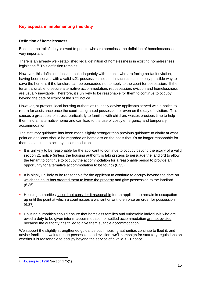## <span id="page-14-0"></span>**Key aspects in implementing this duty**

#### **Definition of homelessness**

Because the 'relief' duty is owed to people who are homeless, the definition of homelessness is very important.

There is an already well-established legal definition of homelessness in existing homelessness legislation. <sup>14</sup> This definition remains.

However, this definition doesn't deal adequately with tenants who are facing no-fault eviction, having been served with a valid s.21 possession notice. In such cases, the only possible way to save the home is if the landlord can be persuaded not to apply to the court for possession. If the tenant is unable to secure alternative accommodation, repossession, eviction and homelessness are usually inevitable. Therefore, it's unlikely to be reasonable for them to continue to occupy beyond the date of expiry of the s.21 notice.

However, at present, local housing authorities routinely advise applicants served with a notice to return for assistance once the court has granted possession or even on the day of eviction. This causes a great deal of stress, particularly to families with children, wastes precious time to help them find an alternative home and can lead to the use of costly emergency and temporary accommodation.

The statutory guidance has been made slightly stronger than previous guidance to clarify at what point an applicant should be regarded as homeless on the basis that it's no longer reasonable for them to continue to occupy accommodation.

- It is unlikely to be reasonable for the applicant to continue to occupy beyond the expiry of a valid section 21 notice (unless the housing authority is taking steps to persuade the landlord to allow the tenant to continue to occupy the accommodation for a reasonable period to provide an opportunity for alternative accommodation to be found) (6.35).
- It is highly unlikely to be reasonable for the applicant to continue to occupy beyond the date on which the court has ordered them to leave the property and give possession to the landlord (6.36).
- **Housing authorities should not consider it reasonable for an applicant to remain in occupation** up until the point at which a court issues a warrant or writ to enforce an order for possession (6.37).
- **H** Housing authorities should ensure that homeless families and vulnerable individuals who are owed a duty to be given interim accommodation or settled accommodation are not evicted because the authority has failed to give them suitable accommodation.

We support the slightly strengthened guidance but if housing authorities continue to flout it, and advise families to wait for court possession and eviction, we'll campaign for statutory regulations on whether it is reasonable to occupy beyond the service of a valid s.21 notice.

 $\overline{a}$ 

<sup>14</sup> [Housing Act 1996](http://www.legislation.gov.uk/ukpga/1996/52/section/175) Section 175(1)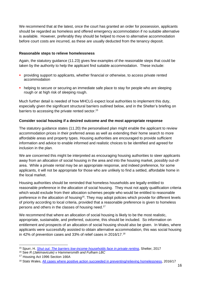We recommend that at the latest, once the court has granted an order for possession, applicants should be regarded as homeless and offered emergency accommodation if no suitable alternative is available. However, preferably they should be helped to move to alternative accommodation before court costs are incurred, as these are usually deducted from the tenancy deposit.

#### **Reasonable steps to relieve homelessness**

Again, the statutory guidance (11.23) gives few examples of the reasonable steps that could be taken by the authority to help the applicant find suitable accommodation. These include:

- providing support to applicants, whether financial or otherwise, to access private rented accommodation
- helping to secure or securing an immediate safe place to stay for people who are sleeping rough or at high risk of sleeping rough.

Much further detail is needed of how MHCLG expect local authorities to implement this duty, especially given the significant structural barriers outlined below, and in the Shelter's briefing on barriers to accessing the private rented sector.<sup>15</sup>

## **Consider social housing if a desired outcome and the most appropriate response**

The statutory guidance states (11.20) the personalised plan might enable the applicant to review accommodation prices in their preferred areas as well as extending their home search to more affordable areas and property types. Housing authorities are encouraged to provide sufficient information and advice to enable informed and realistic choices to be identified and agreed for inclusion in the plan.

We are concerned this might be interpreted as encouraging housing authorities to steer applicants away from an allocation of social housing in the area and into the housing market, possibly out-ofarea. While a private rental may be an appropriate response, and indeed preference, for some applicants, it will not be appropriate for those who are unlikely to find a settled, affordable home in the local market.

Housing authorities should be reminded that homeless households are legally entitled to reasonable preference in the allocation of social housing. They must not apply qualification criteria which would exclude from their allocation schemes people who would be entitled to reasonable preference in the allocation of housing<sup>16</sup>. They may adopt policies which provide for different levels of priority according to local criteria, provided that a reasonable preference is given to homeless persons and others in the classes of housing need. 17

We recommend that where an allocation of social housing is likely to be the most realistic, appropriate, sustainable, and preferred, outcome, this should be included. So information on entitlement and prospects of an allocation of social housing should also be given. In Wales, where applicants were successfully assisted to obtain alternative accommodation, this was social housing in 42% of prevention cases and 33% of relief cases in 2016/17.<sup>18</sup>

**.** 

<sup>15</sup> Spurr, H. *[Shut out: The barriers low-income households face in private renting](https://england.shelter.org.uk/__data/assets/pdf_file/0004/1391701/2017_06_-_Shut_out_the_barriers_low_income_households_face_in_pivate_renting.pdf)*, Shelter, 2017

<sup>16</sup> See *R (Jakimavicute) v Hammersmith and Fulham LBC*

<sup>&</sup>lt;sup>17</sup> Housing Act 1996 Section 166A

<sup>18</sup> Stats Wales, [All cases where positive action succeeded in preventing/relieving homelessness,](https://statswales.gov.wales/Catalogue/Housing/Homelessness/Statutory-Homelessness-Prevention-and-Relief/all-cases-where-positive-action-succeeded-in-preventing-relieving-homelessness) 2016/17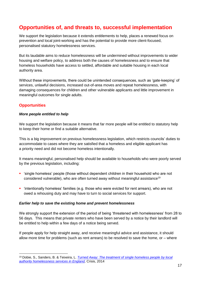# **Opportunities of, and threats to, successful implementation**

We support the legislation because it extends entitlements to help, places a renewed focus on prevention and local joint-working and has the potential to provide more client-focused, personalised statutory homelessness services.

But its laudable aims to reduce homelessness will be undermined without improvements to wider housing and welfare policy, to address both the causes of homelessness and to ensure that homeless households have access to settled, affordable and suitable housing in each local authority area.

Without these improvements, there could be unintended consequences, such as 'gate-keeping' of services, unlawful decisions, increased out-of-area moves and repeat homelessness, with damaging consequences for children and other vulnerable applicants and little improvement in meaningful outcomes for single adults.

## <span id="page-16-0"></span>**Opportunities**

**.** 

## *More people entitled to help*

We support the legislation because it means that far more people will be entitled to statutory help to keep their home or find a suitable alternative.

This is a big improvement on previous homelessness legislation, which restricts councils' duties to accommodate to cases where they are satisfied that a homeless and eligible applicant has a priority need and did not become homeless intentionally.

It means meaningful, personalised help should be available to households who were poorly served by the previous legislation, including:

- 'single homeless' people (those without dependent children in their household who are not considered vulnerable), who are often turned away without meaningful assistance<sup>19</sup>
- 'intentionally homeless' families (e.g. those who were evicted for rent arrears), who are not owed a rehousing duty and may have to turn to social services for support.

## *Earlier help to save the existing home and prevent homelessness*

We strongly support the extension of the period of being 'threatened with homelessness' from 28 to 56 days. This means that private renters who have been served by a notice by their landlord will be entitled to help within a few days of a notice being served.

If people apply for help straight away, and receive meaningful advice and assistance, it should allow more time for problems (such as rent arrears) to be resolved to save the home, or – where

<sup>19</sup> Dobie, S., Sanders, B. & Teixeira, L. *[Turned Away: The treatment of single homeless people by local](https://www.crisis.org.uk/ending-homelessness/homelessness-knowledge-hub/housing-models-and-access/turned-away-2014/)  [authority homelessness services in England,](https://www.crisis.org.uk/ending-homelessness/homelessness-knowledge-hub/housing-models-and-access/turned-away-2014/)* Crisis, 2014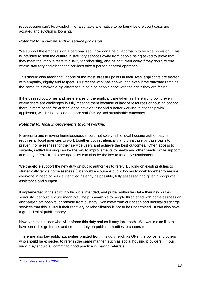repossession can't be avoided – for a suitable alternative to be found before court costs are accrued and eviction is looming.

## *Potential for a culture shift in service provision*

We support the emphasis on a personalised, 'how can I help', approach to service provision. This is intended to shift the culture in statutory services away from people being asked to prove that they meet the various tests to qualify for rehousing, and being turned away if they don't, to one where statutory homelessness services take a person-centred approach.

This should also mean that, at one of the most stressful points in their lives, applicants are treated with empathy, dignity and respect. Our recent work has shown that, even if the outcome remains the same, this makes a big difference in helping people cope with the crisis they are facing.

If the desired outcomes and preferences of the applicant are taken as the starting point, even where there are challenges in fully meeting them because of lack of resources or housing options, there is more scope for authorities to develop trust and a better working relationship with applicants, which should lead to more satisfactory and sustainable outcomes.

## *Potential for local improvements to joint working*

Preventing and relieving homelessness should not solely fall to local housing authorities. It requires all local agencies to work together both strategically and on a case by case basis to prevent homelessness for their service users and achieve the best outcomes. Often access to suitable, settled housing can be the key to improvements to health and other needs, while support and early referral from other agencies can also be the key to tenancy sustainment.

We therefore support the new duty on public authorities to refer. Building on existing duties to strategically tackle homelessness<sup>20</sup>, it should encourage public bodies to work together to ensure everyone in need of help is identified as early as possible, fully assessed and given appropriate assistance and support.

If implemented in the spirit in which it is intended, and public authorities take their new duties seriously, it should ensure meaningful help is available to people threatened with homelessness on discharge from hospital or release from custody. We know from our prison and hospital discharge services that this is vital if their recovery or rehabilitation is not to be undermined. It can also save a great deal of public money.

However, it's unclear who will enforce this duty and so it may lack teeth. We would also like to have seen this go further and create a duty on public authorities to cooperate.

There are also key public authorities omitted from this duty, such as GPs, the police, and others who should be expected to refer in the same manner, such as social housing providers. In our view, they should all commit to good practice in making referrals.

 $\overline{\phantom{a}}$ 

<sup>20</sup> [Homelessness Act 2002](https://www.legislation.gov.uk/ukpga/2002/7/crossheading/homelessness-reviews-and-strategies)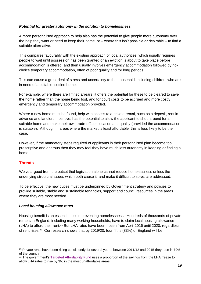#### *Potential for greater autonomy in the solution to homelessness*

A more personalised approach to help also has the potential to give people more autonomy over the help they want or need to keep their home, or – where this isn't possible or desirable – to find a suitable alternative.

This compares favourably with the existing approach of local authorities, which usually requires people to wait until possession has been granted or an eviction is about to take place before accommodation is offered, and then usually involves emergency accommodation followed by nochoice temporary accommodation, often of poor quality and for long periods.

This can cause a great deal of stress and uncertainty to the household, including children, who are in need of a suitable, settled home.

For example, where there are limited arrears, it offers the potential for these to be cleared to save the home rather than the home being lost, and for court costs to be accrued and more costly emergency and temporary accommodation provided.

Where a new home must be found, help with access to a private rental, such as a deposit, rent in advance and landlord incentive, has the potential to allow the applicant to shop around for a suitable home and make their own trade-offs on location and quality (provided the accommodation is suitable). Although in areas where the market is least affordable, this is less likely to be the case.

However, if the mandatory steps required of applicants in their personalised plan become too prescriptive and onerous then they may feel they have much less autonomy in keeping or finding a home.

## <span id="page-18-0"></span>**Threats**

**.** 

We've argued from the outset that legislation alone cannot reduce homelessness unless the underlying structural issues which both cause it, and make it difficult to solve, are addressed.

To be effective, the new duties must be underpinned by Government strategy and policies to provide suitable, stable and sustainable tenancies, support and council resources in the areas where they are most needed.

#### *Local housing allowance rates*

Housing benefit is an essential tool in preventing homelessness. Hundreds of thousands of private renters in England, including many working households, have to claim local housing allowance (LHA) to afford their rent.<sup>21</sup> But LHA rates have been frozen from April 2016 until 2020, regardless of rent rises.<sup>22</sup> Our research shows that by 2019/20, four fifths (83%) of England will be

<sup>&</sup>lt;sup>21</sup> Private rents have been rising consistently for several years: between 2011/12 and 2015 they rose in 79% of the country

<sup>&</sup>lt;sup>22</sup> The government's Targeted [Affordability Fund](https://www.gov.uk/government/uploads/system/uploads/attachment_data/file/682772/g2-2018.pdf) uses a proportion of the savings from the LHA freeze to allow LHA rates to rise by 3% in the most unaffordable areas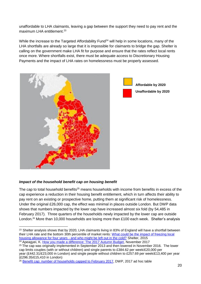unaffordable to LHA claimants, leaving a gap between the support they need to pay rent and the maximum LHA entitlement.<sup>23</sup>

While the increase to the Targeted Affordability Fund<sup>24</sup> will help in some locations, many of the LHA shortfalls are already so large that it is impossible for claimants to bridge the gap. Shelter is calling on the government make LHA fit for purpose and ensure that the rates reflect local rents once more. Where shortfalls exist, there must be adequate access to Discretionary Housing Payments and the impact of LHA rates on homelessness must be properly assessed.



## *Impact of the household benefit cap on housing benefit*

The cap to total household benefits<sup>25</sup> means households with income from benefits in excess of the cap experience a reduction in their housing benefit entitlement, which in turn affects their ability to pay rent on an existing or prospective home, putting them at significant risk of homelessness. Under the original £26,000 cap, the effect was minimal in places outside London. But DWP data shows that numbers impacted by the lower cap have increased almost six fold (by 54,485 in February 2017). Three quarters of the households newly impacted by the lower cap are outside London.<sup>26</sup> More than 10,000 households are losing more than £100 each week. Shelter's analysis

<sup>1</sup> <sup>23</sup> Shelter analysis shows that by 2020, LHA claimants living in 83% of England will have a shortfall between their LHA rate and the bottom 30th percentile of market rents: [What could be the impact of freezing local](http://england.shelter.org.uk/__data/assets/pdf_file/0003/1197309/2015_10_20_The_impact_of_freezing_LHA_method_note.pdf)  housing allowance for four years - [and who might be left out in the cold?](http://england.shelter.org.uk/__data/assets/pdf_file/0003/1197309/2015_10_20_The_impact_of_freezing_LHA_method_note.pdf) Shelter, 2015 <sup>24</sup> Apeagyei, K. [How you made a difference: The 2017 Autumn Budget,](http://blog.shelter.org.uk/2017/11/how-you-made-a-difference-the-autumn-budget/) November 2017

<sup>&</sup>lt;sup>25</sup> The cap was originally implemented in September 2013 and then lowered in November 2016. The lower cap limits couples (with or without children) and single parents to £384.62 per week/£20,000 per year (£442.31/£23,000 in London) and single people without children to £257.69 per week/£13,400 per year (£296.35/£15,410 in London)

<sup>&</sup>lt;sup>26</sup> [Benefit cap: number of households capped to February 2017,](https://www.gov.uk/government/statistics/benefit-cap-number-of-households-capped-to-february-2017) DWP, 2017 ad hoc table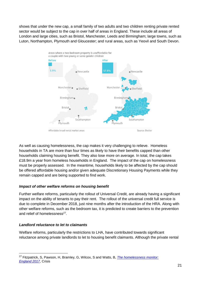shows that under the new cap, a small family of two adults and two children renting private rented sector would be subject to the cap in over half of areas in England. These include all areas of London and large cities, such as Bristol, Manchester, Leeds and Birmingham; large towns, such as Luton, Northampton, Plymouth and Gloucester; and rural areas, such as Yeovil and South Devon.



As well as causing homelessness, the cap makes it very challenging to relieve. Homeless households in TA are more than four times as likely to have their benefits capped than other households claiming housing benefit. They also lose more on average. In total, the cap takes £18.9m a year from homeless households in England. The impact of the cap on homelessness must be properly assessed. In the meantime, households likely to be affected by the cap should be offered affordable housing and/or given adequate Discretionary Housing Payments while they remain capped and are being supported to find work.

## *Impact of other welfare reforms on housing benefit*

Further welfare reforms, particularly the rollout of Universal Credit, are already having a significant impact on the ability of tenants to pay their rent. The rollout of the universal credit full service is due to complete in December 2018, just nine months after the introduction of the HRA. Along with other welfare reforms, such as the bedroom tax, it is predicted to create barriers to the prevention and relief of homelessness<sup>27</sup>.

## *Landlord reluctance to let to claimants*

Welfare reforms, particularly the restrictions to LHA, have contributed towards significant reluctance among private landlords to let to housing benefit claimants. Although the private rental

**<sup>.</sup>** <sup>27</sup> Fitzpatrick, S, Pawson, H, Bramley, G, Wilcox, S and Watts, B, *[The homelessness monitor:](https://crisis.org.uk/media/236823/homelessness_monitor_england_2017.pdf) [England 2017](https://crisis.org.uk/media/236823/homelessness_monitor_england_2017.pdf)*, Crisis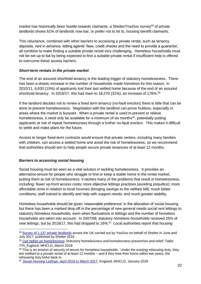market has historically been hostile towards claimants, a Shelter/YouGov survey<sup>28</sup> of private landlords shows 61% of landlords now bar, or prefer not to let to, housing benefit claimants.

This reluctance, combined with other barriers to accessing a private rental, such as tenancy deposits, rent in advance, letting agents' fees, credit checks and the need to provide a guarantor, all combine to make finding a suitable private rental very challenging. Homeless households must not be set up to fail by being expected to find a suitable private rental if insufficient help is offered to overcome these access barriers.

## *Short-term rentals in the private market*

The end of an assured shorthold tenancy is the leading trigger of statutory homelessness. There has been a drastic increase in the number of households made homeless for this reason. In 2010/11, 6,630 (15%) of applicants lost their last settled home because of the end of an assured shorthold tenancy. In 2016/17, this had risen to 18,270 (31%): an increase of 176%.<sup>29</sup>

If the landlord decides not to renew a fixed term tenancy (no-fault eviction) there is little that can be done to prevent homelessness. Negotiation with the landlord can prove fruitless, especially in areas where the market is buoyant. When a private rental is used to prevent or relieve homelessness, it need only be available for a minimum of six months $30$ , potentially putting applicants at risk of repeat homelessness through a further no-fault eviction. This makes it difficult to settle and make plans for the future.

Access to longer fixed-term contracts would ensure that private renters, including many families with children, can access a settled home and avoid the risk of homelessness, so we recommend that authorities should aim to help people secure private tenancies of at least 12 months.

## *Barriers to accessing social housing*

Social housing must be seen as a vital solution in tackling homelessness. It provides an alternative tenure for people who struggle to find or keep a stable home in the rental market, putting them at risk of homelessness. It tackles many of the problems that result in homelessness, including: fewer up-front access costs; more objective lettings practices (avoiding prejudice); more affordable rents in relation to local incomes (bringing savings to the welfare bill); much better conditions; staff trained to identify and help with support needs; and much greater stability.

Homeless households should be given 'reasonable preference' in the allocation of social housing, but there has been a marked drop off in the percentage of new general needs social rent lettings to statutory homeless households, even when fluctuations in lettings and the number of homeless households are taken into account. In 2007/08, statutory homeless households received 25% of new lettings, but by 2016/17, this had dropped to 16%.<sup>31</sup> Local authorities report that housing

 $\overline{\phantom{a}}$ <sup>28</sup> [Survey of 1,137 private landlords](https://england.shelter.org.uk/__data/assets/pdf_file/0004/1236820/Landlord_survey_18_Feb_publish.pdf) across the UK carried out by YouGov on behalf of Shelter in June and July 2017, published by Shelter 2016

<sup>29</sup> *Live tables [on homelessness](https://www.gov.uk/government/statistical-data-sets/live-tables-on-homelessness)*: Statutory homelessness and homelessness prevention and relief: Table 774\_England, MHCLG, March 2018

<sup>&</sup>lt;sup>30</sup> This is an erosion of security of tenure for homeless households. Under the existing rehousing duty, they are entitled to a private rental of at least 12 months – and if they lose their home within two years, the rehousing duty kicks back in.

<sup>31</sup> *[Social Housing Lettings: April 2016 to March 2017](https://www.gov.uk/government/statistics/social-housing-lettings-in-england-april-2016-to-march-2017)*, England, MHCLG, January 2018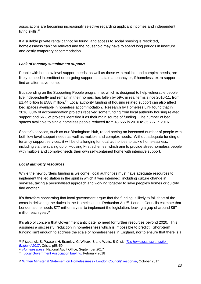associations are becoming increasingly selective regarding applicant incomes and independent living skills.<sup>32</sup>

If a suitable private rental cannot be found, and access to social housing is restricted, homelessness can't be relieved and the household may have to spend long periods in insecure and costly temporary accommodation.

## *Lack of tenancy sustainment support*

People with both low-level support needs, as well as those with multiple and complex needs, are likely to need intermittent or on-going support to sustain a tenancy or, if homeless, extra support to find an alternative home.

But spending on the Supporting People programme, which is designed to help vulnerable people live independently and remain in their homes, has fallen by 59% in real terms since 2010-11, from £1.44 billion to £588 million.<sup>33</sup> Local authority funding of housing related support can also affect bed spaces available in homeless accommodation. Research by Homeless Link found that in 2016, 88% of accommodation projects received some funding from local authority housing related support and 56% of projects identified it as their main source of funding. The number of bed spaces available to single homeless people reduced from 43,655 in 2010 to 35,727 in 2016.

Shelter's services, such as our Birmingham Hub, report seeing an increased number of people with both low-level support needs as well as multiple and complex needs. Without adequate funding of tenancy support services, it will be challenging for local authorities to tackle homelessness, including via the scaling up of Housing First schemes, which aim to provide street homeless people with multiple and complex needs their own self-contained home with intensive support.

## *Local authority resources*

While the new burdens funding is welcome, local authorities must have adequate resources to implement the legislation in the spirit in which it was intended: including culture change in services, taking a personalised approach and working together to save people's homes or quickly find another.

It's therefore concerning that local government argue that the funding is likely to fall short of the costs in delivering the duties in the Homelessness Reduction Act. 34 London Councils estimate that London alone needs £77 million a year to implement the legislation, leaving a gap of around £67 million each year.<sup>35</sup>

It's also of concern that Government anticipate no need for further resources beyond 2020. This assumes a successful reduction in homelessness which is impossible to predict. Short-term funding isn't enough to address the scale of homelessness in England, nor to ensure that there is a

<sup>1</sup> <sup>32</sup> Fitzpatrick, S, Pawson, H, Bramley, G, Wilcox, S and Watts, B Crisis, *[The homelessness monitor:](https://crisis.org.uk/media/236823/homelessness_monitor_england_2017.pdf) [England 2017](https://crisis.org.uk/media/236823/homelessness_monitor_england_2017.pdf)*, Crisis, p58-59

<sup>33</sup> *[Homelessness](https://www.nao.org.uk/report/homelessness/)*, National Audit Office, September 2017

<sup>&</sup>lt;sup>34</sup> [Local Government Association briefing,](https://www.local.gov.uk/sites/default/files/documents/LGA%20briefing%20-%20Estimates%20Day%20-%20homelessness%20-%20HC%20-%20270218.pdf) February 2018

<sup>35</sup> [Written Ministerial Statement on Homelessness -](https://www.londoncouncils.gov.uk/node/32787) London Councils' response, October 2017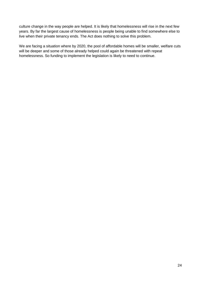culture change in the way people are helped. It is likely that homelessness will rise in the next few years. By far the largest cause of homelessness is people being unable to find somewhere else to live when their private tenancy ends. The Act does nothing to solve this problem.

We are facing a situation where by 2020, the pool of affordable homes will be smaller, welfare cuts will be deeper and some of those already helped could again be threatened with repeat homelessness. So funding to implement the legislation is likely to need to continue.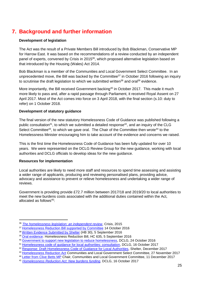# <span id="page-24-0"></span>**7. Background and further information**

#### <span id="page-24-1"></span>**Development of legislation**

The Act was the result of a Private Members Bill introduced by Bob Blackman, Conservative MP for Harrow East. It was based on the recommendations of a review conducted by an independent panel of experts, convened by Crisis in 2015<sup>36</sup>, which proposed alternative legislation based on that introduced by the Housing (Wales) Act 2014.

Bob Blackman is a member of the Communities and Local Government Select Committee. In an unprecedented move, the Bill was backed by the Committee<sup>37</sup> in October 2016 following an inquiry to scrutinise the draft legislation to which we submitted written<sup>38</sup> and oral<sup>39</sup> [evidence.](http://data.parliament.uk/writtenevidence/committeeevidence.svc/evidencedocument/communities-and-local-government-committee/scrutiny-of-homelessness-reduction-bill/written/36841.html)

More importantly, the Bill received Government backing<sup>40</sup> in October 2017. This made it much more likely to pass and, after a rapid passage through Parliament, it received Royal Assent on 27 April 2017. Most of the Act comes into force on 3 April 2018, with the final section (s.10: duty to refer) on 1 October 2018.

#### <span id="page-24-2"></span>**Development of statutory guidance**

The final version of the new statutory Homelessness Code of Guidance was published following a public consultation<sup>41</sup>, to which we submitted a detailed response<sup>42</sup>, and an inquiry of the CLG Select Committee<sup>43</sup>, to which we gave oral. The Chair of the Committee then wrote<sup>44</sup> to the Homelessness Minister encouraging him to take account of the evidence and concerns we raised.

This is the first time the Homelessness Code of Guidance has been fully updated for over 10 years. We were represented on the DCLG Review Group for the new guidance, working with local authorities and DCLG officials to develop ideas for the new guidance.

#### <span id="page-24-3"></span>**Resources for implementation**

1

Local authorities are likely to need more staff and resources to spend time assessing and assisting a wider range of applicants, producing and reviewing personalised plans, providing advice, advocacy and assistance to prevent or relieve homelessness and undertaking a wider range of reviews.

Government is providing provide £72.7 million between 2017/18 and 2019/20 to local authorities to meet the new burdens costs associated with the additional duties contained within the Act, allocated as follows $45$ :

<sup>36</sup> *[The homelessness legislation: an independent review](https://www.crisis.org.uk/media/20606/crisis_the_homelessness_legislation_2015.pdf)*, Crisis, 2015

<sup>&</sup>lt;sup>37</sup> [Homelessness Reduction Bill supported by Committee](https://www.parliament.uk/business/committees/committees-a-z/commons-select/communities-and-local-government-committee/news-parliament-2015/homelessness-reduction-bill-report-published-16-17/) 14 October 2016

<sup>38</sup> [Written Evidence Submitted by Shelter](http://data.parliament.uk/writtenevidence/committeeevidence.svc/evidencedocument/housing-communities-and-local-government-committee/scrutiny-of-homelessness-reduction-bill/written/36841.pdf) (HB 30), 5 September 2016

<sup>39</sup> [Oral evidence:](http://data.parliament.uk/writtenevidence/committeeevidence.svc/evidencedocument/housing-communities-and-local-government-committee/scrutiny-of-homelessness-reduction-bill/oral/37331.html) Homelessness Reduction Bill, HC 635, 5 September 2016

<sup>40</sup> [Government to support new legislation to reduce homelessness,](https://www.gov.uk/government/news/government-to-support-new-legislation-to-reduce-homelessness) DCLG, 24 October 2016

<sup>41</sup> [Homelessness code of guidance for local authorities: consultation,](https://www.gov.uk/government/consultations/homelessness-code-of-guidance-for-local-authorities) DCLG, 16 October 2017

<sup>42</sup> [Response: Draft Homelessness Code of Guidance for Local Authorities,](https://england.shelter.org.uk/professional_resources/policy_and_research/policy_library/policy_library_folder/response_draft_homelessness_code_of_guidance_for_local_authorities) Shelter, December 2017

<sup>43</sup> [Homelessness Reduction Act](http://www.parliament.uk/business/committees/committees-a-z/commons-select/communities-and-local-government-committee/inquiries/parliament-2017/homelessness-reduction-17-19/) Communities and Local Government Select Committee, 27 November 2017

<sup>44</sup> [Letter from Clive Betts MP](https://www.parliament.uk/documents/commons-committees/communities-and-local-government/Letter-from-the-Chair-to-Secretary-of-State-(DCLG)-relating-to-Draft-Homelessness-Code-of-Guidance-11-December-2017.pdf) Chair, Communities and Local Government Committee, 11 December 2017

<sup>45</sup> *[Homelessness Reduction Act: New burdens funding](file:///C:/Users/Kate_Webb/AppData/Local/Microsoft/Windows/Temporary%20Internet%20Files/Content.Outlook/ESXOXX0Z/Homelessness%20Reduction%20Act:%20New%20burden%20assessment,%20DCLG,%2016%20October%202017)*, DCLG, 16 October 2017